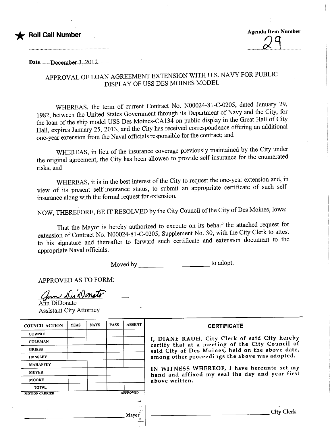

Date...........December 3, 2012...........

## APPROVAL OF LOAN AGREEMENT EXTENSION WITH U.S. NAVY FOR PUBLIC DISPLAY OF USS DES MOINES MODEL

WHEREAS, the term of current Contract No. N00024-81-C-0205, dated January 29, 1982, between the United States Government through its Department of Navy and the City, for the loan of the ship model USS Des Moines-CA134 on public display in the Great Hall of City Hall, expires January 25, 2013, and the City has received correspondence offering an additional one-year extension from the Naval officials responsible for the contract; and

WHEREAS, in lieu of the insurance coverage previously maintained by the City under the original agreement, the City has been allowed to provide self-insurance for the enumerated risks; and

WHEREAS, it is in the best interest of the City to request the one-year extension and, in view of its present self-insurance status, to submit an appropriate certificate of such selfinsurance along with the formal request for extension.

NOW, THEREFORE, BE IT RESOLVED by the City Council of the City of Des Moines, Iowa:

That the Mayor is hereby authorized to execute on its behalf the attached request for extension of Contract No. N00024-81-C-0205, Supplement No. 30, with the City Clerk to attest to his signature and thereafter to forward such certificate and extension document to the appropriate Naval officials.

Moved by \_\_\_\_\_\_\_\_\_\_\_\_\_\_\_\_\_\_\_\_\_\_\_\_\_\_\_\_\_\_\_ to adopt.

APPROVED AS TO FORM:

Jan Di Donato

Assistant City Attorney

| <b>COUNCIL ACTION</b> | <b>YEAS</b>     | <b>NAYS</b> | <b>PASS</b> | <b>ABSENT</b> | <b>CERTIFICATE</b>                                                                                                                                                                                                                                                                                                         |
|-----------------------|-----------------|-------------|-------------|---------------|----------------------------------------------------------------------------------------------------------------------------------------------------------------------------------------------------------------------------------------------------------------------------------------------------------------------------|
| <b>COWNIE</b>         |                 |             |             |               | I, DIANE RAUH, City Clerk of said City hereby<br>certify that at a meeting of the City Council of<br>said City of Des Moines, held on the above date,<br>among other proceedings the above was adopted.<br>IN WITNESS WHEREOF, I have hereunto set my<br>hand and affixed my seal the day and year first<br>above written. |
| <b>COLEMAN</b>        |                 |             |             |               |                                                                                                                                                                                                                                                                                                                            |
| <b>GRIESS</b>         |                 |             |             |               |                                                                                                                                                                                                                                                                                                                            |
| <b>HENSLEY</b>        |                 |             |             |               |                                                                                                                                                                                                                                                                                                                            |
| <b>MAHAFFEY</b>       |                 |             |             |               |                                                                                                                                                                                                                                                                                                                            |
| <b>MEYER</b>          |                 |             |             |               |                                                                                                                                                                                                                                                                                                                            |
| <b>MOORE</b>          |                 |             |             |               |                                                                                                                                                                                                                                                                                                                            |
| <b>TOTAL</b>          |                 |             |             |               |                                                                                                                                                                                                                                                                                                                            |
| <b>MOTION CARRIED</b> | <b>APPROVED</b> |             |             |               |                                                                                                                                                                                                                                                                                                                            |
|                       |                 |             |             |               |                                                                                                                                                                                                                                                                                                                            |
|                       |                 |             |             |               |                                                                                                                                                                                                                                                                                                                            |
|                       |                 |             |             | Mayor         | <b>City Clerk</b>                                                                                                                                                                                                                                                                                                          |
|                       |                 |             |             |               |                                                                                                                                                                                                                                                                                                                            |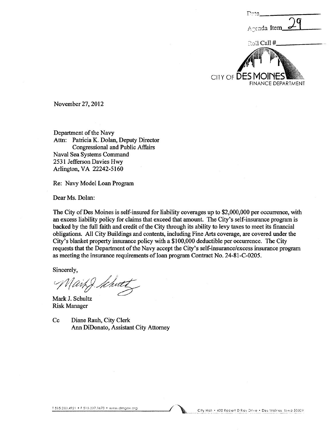G Agenda Item ಾದಿl Call # CITY OF DESN **FINANCE DEPARTMENT** 

November 27, 2012

Department of the Navy Attn: Patricia K. Dolan, Deputy Director **Congressional and Public Affairs** Naval Sea Systems Command 2531 Jefferson Davies Hwy Arlington, VA 22242-5160

Re: Navy Model Loan Program

Dear Ms. Dolan:

The City of Des Moines is self-insured for liability coverages up to \$2,000,000 per occurrence, with an excess liability policy for claims that exceed that amount. The City's self-insurance program is backed by the full faith and credit of the City through its ability to levy taxes to meet its financial obligations. All City Buildings and contents, including Fine Arts coverage, are covered under the City's blanket property insurance policy with a \$100,000 deductible per occurrence. The City requests that the Department of the Navy accept the City's self-insurance/excess insurance program as meeting the insurance requirements of loan program Contract No. 24-81-C-0205.

Sincerely,

ait J. Khute

Mark J. Schultz **Risk Manager** 

 $Cc$ Diane Rauh, City Clerk Ann DiDonato, Assistant City Attorney